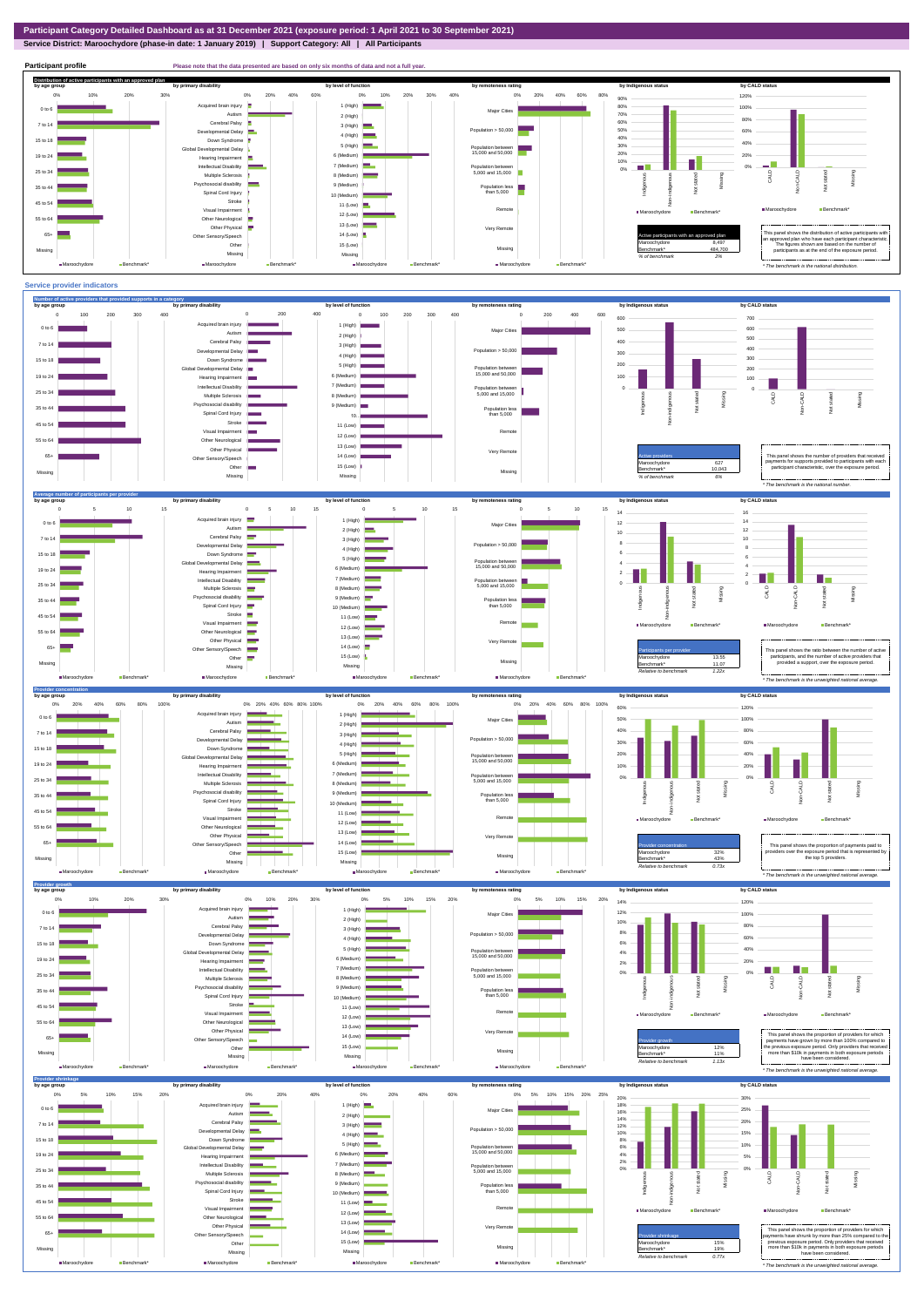**Service District: Maroochydore (phase-in date: 1 January 2019) | Support Category: All | All Participants**



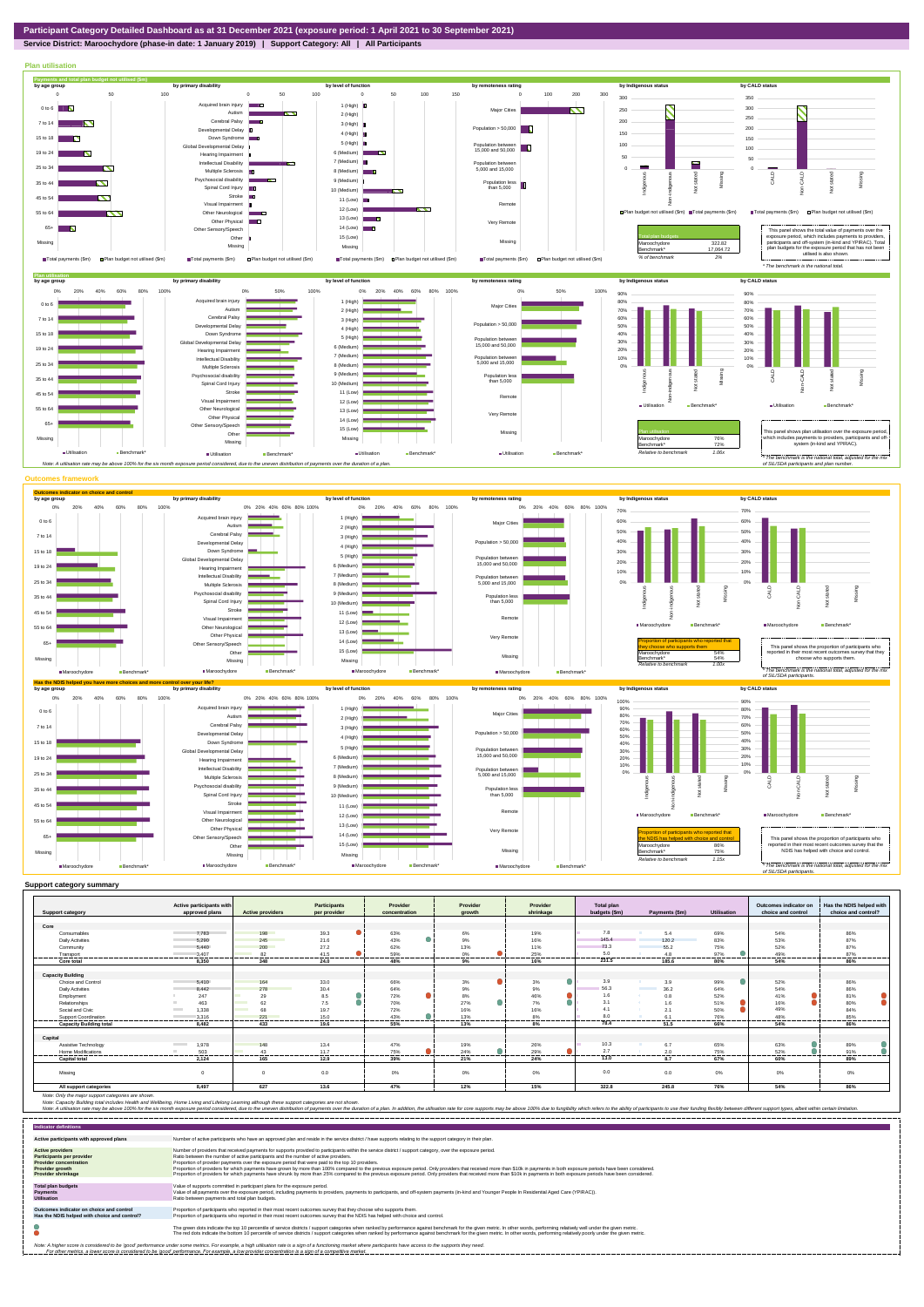## **Service District: Maroochydore (phase-in date: 1 January 2019) | Support Category: All | All Participants**



|                                | Active participants with |                         | <b>Participants</b> | Provider      | Provider         | Provider  | <b>Total plan</b> |                                  |                | Outcomes indicator on | Has the NDIS helped with |
|--------------------------------|--------------------------|-------------------------|---------------------|---------------|------------------|-----------|-------------------|----------------------------------|----------------|-----------------------|--------------------------|
| <b>Support category</b>        | approved plans           | <b>Active providers</b> | per provider        | concentration | arowth           | shrinkage | budgets (\$m)     | Payments (\$m)                   | Utilisation    | choice and control    | choice and control?      |
|                                |                          |                         |                     |               |                  |           |                   |                                  |                |                       |                          |
| Core                           |                          |                         |                     |               |                  |           |                   |                                  |                |                       |                          |
| Consumables                    | 7.783                    | 198                     | 39.3                | 63%           | 6%               | 19%       | 7.8               | 5.4                              | 69%            | 54%                   | 86%                      |
| <b>Daily Activities</b>        | 5.290                    | 245                     | 21.6                | 43%           | 9%               | 16%       | 145.4             | 120.2                            | 83%            | 53%                   | 87%                      |
| Community                      | 5.440                    | 200                     | 27.2                | 62%           | 13%              | 11%       | 73.3              | 55.2                             | 75%            | 52%                   | 87%                      |
| Transport                      | 3.407                    | 82                      | 41.5                | 59%           | 0%               | 25%       | 5.0               | 4.8                              | 97%            | 49%<br>-------        | 87%                      |
| Core total                     | 8.350                    | 348                     | 24.0                | 48%           | 9%               | 16%       | 231.5             | 185.6                            | 80%            | 54%                   | 86%                      |
|                                |                          |                         |                     |               |                  |           |                   |                                  |                |                       |                          |
| <b>Capacity Building</b>       |                          |                         |                     |               |                  |           |                   |                                  |                |                       |                          |
| <b>Choice and Control</b>      | 5.410                    | 164                     | 33.0                | 66%           | 3%               | 3%        | 3.9               | 3.9                              | 99%            | 52%                   | 86%                      |
| <b>Daily Activities</b>        | 8.442                    | 278                     | 30.4                | 64%           | 9%               | 9%        | 56.3              | 36.2<br><b>Contract Contract</b> | 64%            | 54%                   | 86%                      |
| Employment                     | 247                      | 29                      | 8.5                 | 72%           | 8%               | 46%       | 1.6               | 0.8                              | 52%            | 41%                   | 81%                      |
| Relationships                  | 463                      | 62                      | 7.5                 | 70%           | 27%              | 7%        | 3.1               | 1.6                              | 51%            | 16%                   | 80%                      |
| Social and Civic               | 1,338<br><b>Contract</b> | 68                      | 19.7                | 72%           | 16%              | 16%       | 4.1               | 2.1                              | 50%            | 49%                   | 84%                      |
| <b>Support Coordination</b>    | 3.316                    | 221<br>-----------      | 15.0<br>---------   | 43%<br>       | 13%<br>--------- | 8%<br>    | 8.0               | 6.1<br>-----------               | 76%<br>        | 48%<br>---------      | 85%<br>---------         |
| <b>Capacity Building total</b> | 8.482                    | 433                     | 19.6                | 55%           | 13%              | 8%        | 78.4              | 51.5                             | 66%            | 54%                   | 86%                      |
| Capital                        |                          |                         |                     |               |                  |           |                   |                                  |                |                       |                          |
|                                | <b>Contract Contract</b> |                         |                     |               |                  |           | 10.3              |                                  |                |                       |                          |
| Assistive Technology           | 1.978                    | 148                     | 13.4                | 47%           | 19%              | 26%       |                   | 6.7                              | 65%            | 63%                   | 89%                      |
| Home Modifications             | 503                      | 43<br>-----             | 11.7<br>-------     | 75%           | 24%              | 29%<br>   | 2.7<br>           | 2.0                              | 75%<br>------- | 52%<br>------         | 91%                      |
| <b>Capital total</b>           | 2.124                    | 165                     | 12.9                | 39%           | 21%              | 24%       | 13.0              | 8.7                              | 67%            | 60%                   | 89%                      |
| Missina                        |                          | $\mathbf{0}$            | 0.0                 | 0%            | 0%               | 0%        | 0.0               | 0.0                              | 0%             | 0%                    | 0%                       |
| All support categories         | 8.497                    | 627                     | 13.6                | 47%           | 12%              | 15%       | 322.8             | 245.8                            | 76%            | 54%                   | 86%                      |

Note: Only the major support categories are shown.<br>Note: Capacity Building total individual Wellbeing, Home Living and Lifelong Learning although these support categories are not shown.<br>Note: A utilisation rate may be abov

| Indicator definitions                                                                                                                               |                                                                                                                                                                                                                                                                                                                                                                                                                                                                                                                                                                                                                                                                                                                                                                                                                 |
|-----------------------------------------------------------------------------------------------------------------------------------------------------|-----------------------------------------------------------------------------------------------------------------------------------------------------------------------------------------------------------------------------------------------------------------------------------------------------------------------------------------------------------------------------------------------------------------------------------------------------------------------------------------------------------------------------------------------------------------------------------------------------------------------------------------------------------------------------------------------------------------------------------------------------------------------------------------------------------------|
| Active participants with approved plans                                                                                                             | Number of active participants who have an approved plan and reside in the service district / have supports relating to the support category in their plan.                                                                                                                                                                                                                                                                                                                                                                                                                                                                                                                                                                                                                                                      |
| <b>Active providers</b><br><b>Participants per provider</b><br><b>Provider concentration</b><br><b>Provider growth</b><br><b>Provider shrinkage</b> | Number of providers that received payments for supports provided to participants within the service district / support category, over the exposure period,<br>Ratio between the number of active participants and the number of active providers.<br>Proportion of provider payments over the exposure period that were paid to the top 10 providers.<br>Proportion of providers for which payments have grown by more than 100% compared to the previous exposure period. Only providers that received more than \$10k in payments in both exposure periods have been considered.<br>Proportion of providers for which payments have shrunk by more than 25% compared to the previous exposure period. Only providers that received more than \$10k in payments in both exposure periods have been considered. |
| <b>Total plan budgets</b><br>Payments<br><b>Utilisation</b>                                                                                         | Value of supports committed in participant plans for the exposure period.<br>Value of all payments over the exposure period, including payments to providers, payments to participants, and off-system payments (in-kind and Younger People In Residential Aged Care (YPIRAC)).<br>Ratio between payments and total plan budgets.                                                                                                                                                                                                                                                                                                                                                                                                                                                                               |
| Outcomes indicator on choice and control<br>Has the NDIS helped with choice and control?                                                            | Proportion of participants who reported in their most recent outcomes survey that they choose who supports them.<br>Proportion of participants who reported in their most recent outcomes survey that the NDIS has helped with choice and control.                                                                                                                                                                                                                                                                                                                                                                                                                                                                                                                                                              |
|                                                                                                                                                     | The green dots indicate the top 10 percentile of service districts / support categories when ranked by performance against benchmark for the given metric. In other words, performing relatively well under the given metric.<br>The red dots indicate the bottom 10 percentile of service districts / support categories when ranked by performance against benchmark for the given metric. In other words, performing relatively poorly under the given metri                                                                                                                                                                                                                                                                                                                                                 |
|                                                                                                                                                     | Note: A higher score is considered to be 'good' performance under some metrics. For example, a high utilisation rate is a sign of a functioning market where participants have access to the supports they need.<br>For other metrics, a lower score is considered to be 'good' performance. For example, a low provider concentration is a sign of a competitive market.                                                                                                                                                                                                                                                                                                                                                                                                                                       |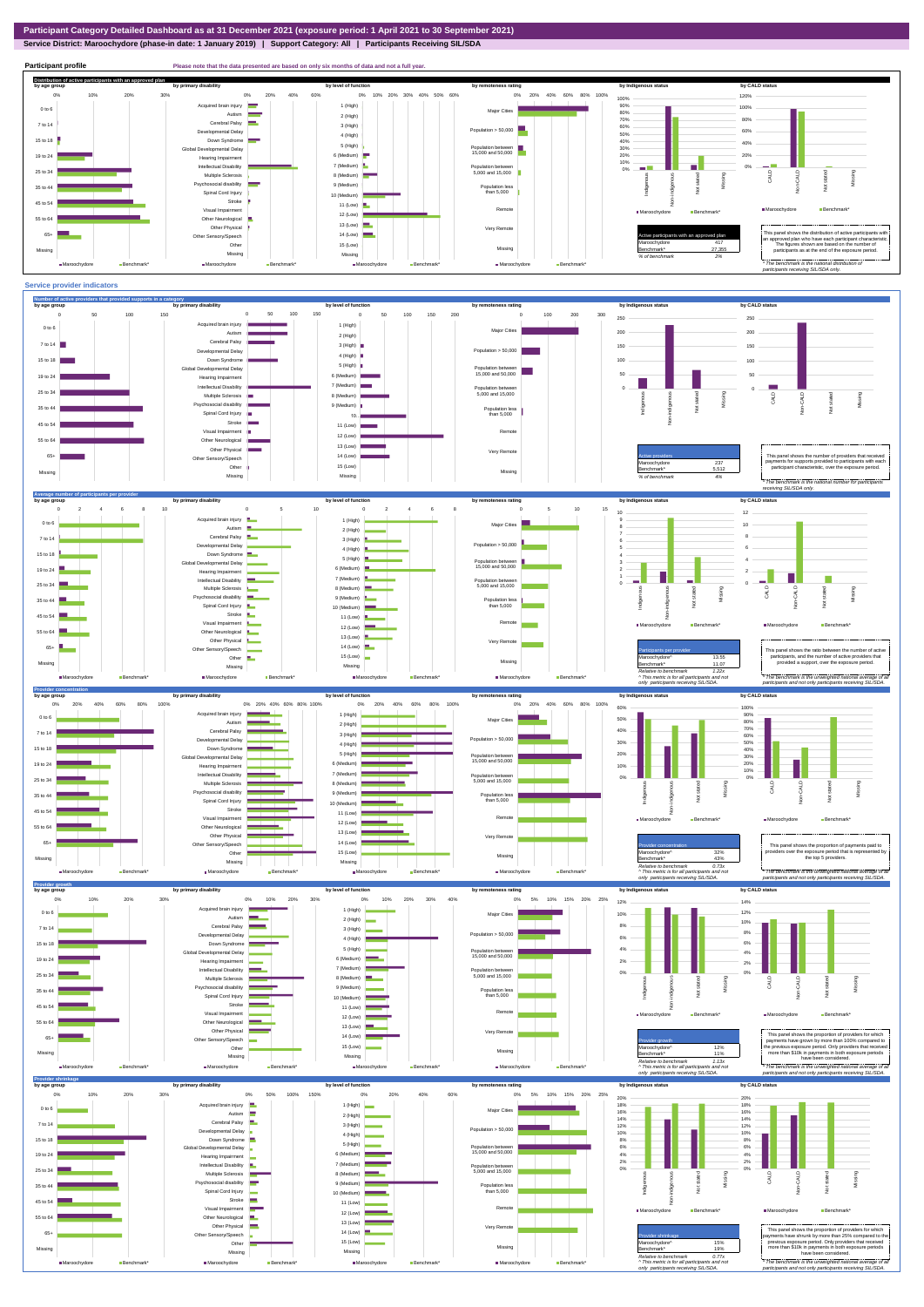**Service District: Maroochydore (phase-in date: 1 January 2019) | Support Category: All | Participants Receiving SIL/SDA**





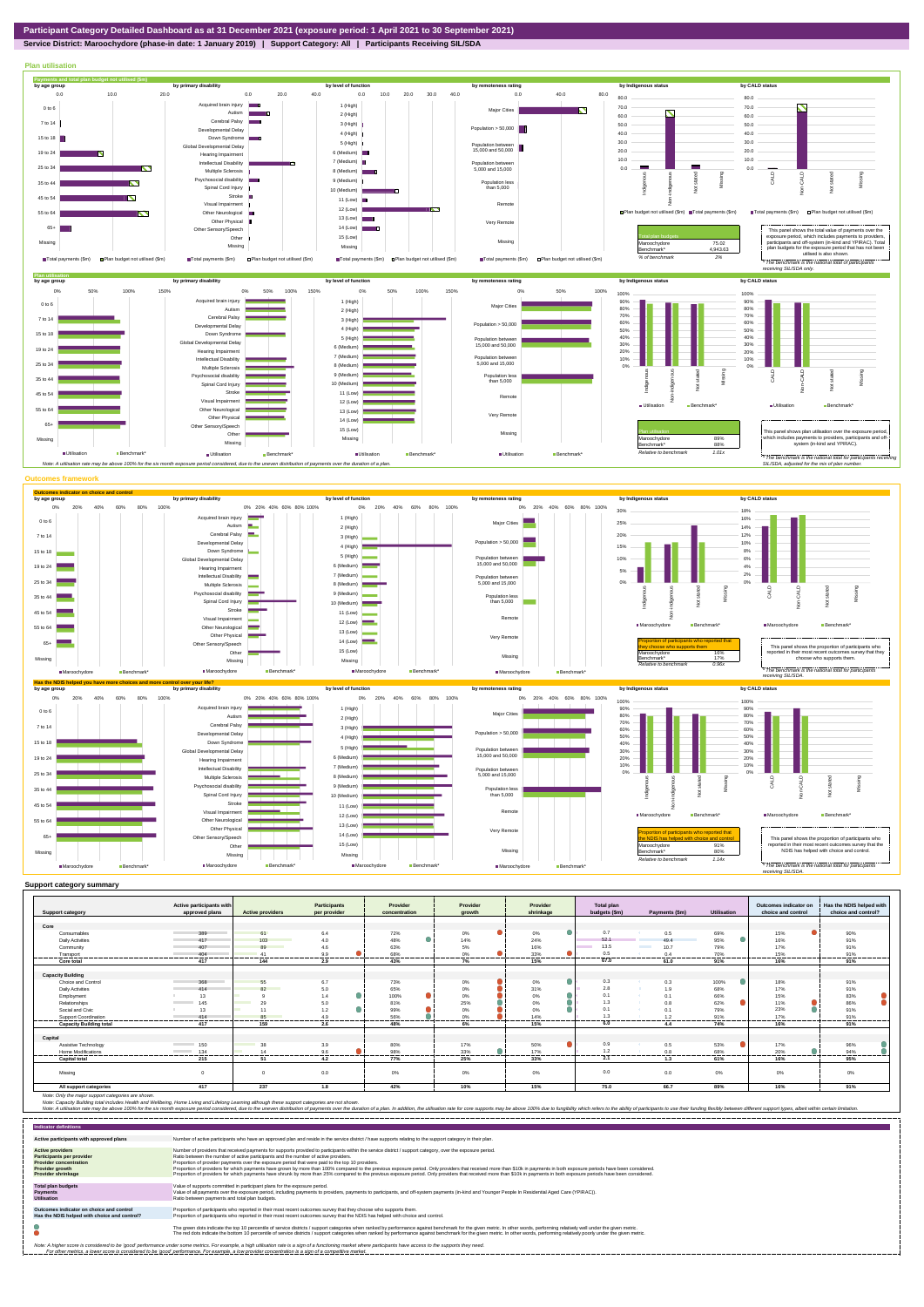

**Service District: Maroochydore (phase-in date: 1 January 2019) | Support Category: All | Participants Receiving SIL/SDA**



| <b>Support category</b>        | Active participants with<br>approved plans | <b>Active providers</b>      | <b>Participants</b><br>per provider | Provider<br>concentration | Provider<br>arowth | Provider<br>shrinkage | <b>Total plan</b><br>budgets (\$m) | Payments (\$m) | <b>Utilisation</b> | Outcomes indicator on<br>choice and control | Has the NDIS helped with<br>choice and control? |
|--------------------------------|--------------------------------------------|------------------------------|-------------------------------------|---------------------------|--------------------|-----------------------|------------------------------------|----------------|--------------------|---------------------------------------------|-------------------------------------------------|
| Core                           |                                            |                              |                                     |                           |                    |                       |                                    |                |                    |                                             |                                                 |
| Consumables                    | 389<br><b>Contract Contract</b>            | 61                           | 6.4                                 | 72%                       | ۰<br>$0\%$         | $0\%$                 | 0.7                                | 0.5            | 69%                | 15%                                         | 90%                                             |
| Daily Activities               | 417                                        | 103                          | 4.0                                 | e.<br>48%                 | 14%                | 24%                   | 52.1                               | 49.4           | 95%                | 16%                                         | 91%                                             |
| Community                      | 407                                        | 89<br><b>Service Service</b> | 4.6                                 | 63%                       | 5%                 | 16%                   | 13.5                               | 10.7           | 79%                | 17%                                         | 91%                                             |
| Transport                      | 404                                        | 41                           | 9.9                                 | 68%                       | 0%                 | 33%                   | 0.5                                | 0.4            | 70%                | 15%                                         | 91%                                             |
| <br>Core total                 | -----------------<br>417                   | ---------------------<br>144 | .<br>2.9                            | .<br>43%                  | .<br>7%            | ---------<br>15%      | <br>67.0                           | .<br>61.0      | .<br>91%           | ---------<br>16%                            | ----------<br>91%                               |
|                                |                                            |                              |                                     |                           |                    |                       |                                    |                |                    |                                             |                                                 |
| <b>Capacity Building</b>       |                                            |                              |                                     |                           |                    |                       |                                    |                |                    |                                             |                                                 |
| Choice and Control             | 368                                        | 55                           | 6.7                                 | 73%                       | 0%                 | 0%                    | 0.3                                | 0.3            | 100%               | 18%                                         | 91%                                             |
| Daily Activities               | 414                                        | 82<br><b>Service Service</b> | 5.0                                 | 65%                       | 0%                 | 31%                   | 2.8                                | 1.9            | 68%                | 17%                                         | 91%                                             |
| Employment                     | 13                                         |                              | 1.4                                 | Δ.<br>100%                | 0%                 | 0%                    | 0.1                                | 0.1            | 66%                | 15%                                         | 83%                                             |
| Relationships                  | 145                                        | 29                           | 5.0                                 | 81%                       | 25%                | 0%                    | 1.3                                | 0.8            | 62%                | 11%                                         | 86%                                             |
| Social and Civic               | 13                                         | 11                           | 1.2                                 | 99%                       | 0%                 | 0%                    | 0.1                                | 0.1            | 79%                | 23%                                         | 91%                                             |
| <b>Support Coordination</b>    | 414                                        | 85                           | 4.9                                 | 56%                       | 0%                 | 14%                   | 1.3                                | 1.2            | 91%                | 17%                                         | 91%                                             |
| <b>Capacity Building total</b> | ------<br>417                              | 159                          | <br>2.6                             | 48%                       | ------<br>6%       | <br>15%               | 6.0                                | ------<br>4.4  | <br>74%            | ------<br>16%                               | 91%                                             |
|                                |                                            |                              |                                     |                           |                    |                       |                                    |                |                    |                                             |                                                 |
| Capital                        |                                            |                              |                                     |                           |                    |                       |                                    |                |                    |                                             |                                                 |
| Assistive Technology           | 150                                        | 38                           | 3.9                                 | 80%                       | 17%                | 50%                   | 0.9                                | 0.5            | 53%                | 17%                                         | 96%                                             |
| Home Modifications             | 134<br><b>Contract Contract</b><br>.       | 14<br>.                      | 9.6<br><b>STATISTICS</b>            | 98%<br>.                  | ◠<br>33%           | 17%                   | 1.2                                | 0.8<br>.       | 68%<br>-----       | 20%                                         | 94%                                             |
| <b>Capital total</b>           | 215                                        | 51                           | 4.2                                 | 77%                       | 25%                | 33%                   | 2.1                                | 1.3            | 61%                | 16%                                         | 95%                                             |
| Missing                        | $\Omega$                                   | $\Omega$                     | 0.0                                 | 0%                        | 0%                 | 0%                    | 0.0                                | 0.0            | $0\%$              | 0%                                          | 0%                                              |
| All support categories         | 417                                        | 237                          | 1.8                                 | 42%                       | 10%                | 15%                   | 75.0                               | 66.7           | 89%                | 16%                                         | 91%                                             |

Note: Only the major support categories are shown.<br>Note: Capacity Building total individual Wellbeing, Home Living and Lifelong Learning although these support categories are not shown.<br>Note: A utilisation rate may be abov

| <b>Indicator definitions</b>                                                                                                                        |                                                                                                                                                                                                                                                                                                                                                                                                                                                                                                                                                                                                                                                                                                                                                                                                                 |
|-----------------------------------------------------------------------------------------------------------------------------------------------------|-----------------------------------------------------------------------------------------------------------------------------------------------------------------------------------------------------------------------------------------------------------------------------------------------------------------------------------------------------------------------------------------------------------------------------------------------------------------------------------------------------------------------------------------------------------------------------------------------------------------------------------------------------------------------------------------------------------------------------------------------------------------------------------------------------------------|
| Active participants with approved plans                                                                                                             | Number of active participants who have an approved plan and reside in the service district / have supports relating to the support category in their plan.                                                                                                                                                                                                                                                                                                                                                                                                                                                                                                                                                                                                                                                      |
| <b>Active providers</b><br><b>Participants per provider</b><br><b>Provider concentration</b><br><b>Provider growth</b><br><b>Provider shrinkage</b> | Number of providers that received payments for supports provided to participants within the service district / support category, over the exposure period.<br>Ratio between the number of active participants and the number of active providers.<br>Proportion of provider payments over the exposure period that were paid to the top 10 providers.<br>Proportion of providers for which payments have grown by more than 100% compared to the previous exposure period. Only providers that received more than \$10k in payments in both exposure periods have been considered.<br>Proportion of providers for which payments have shrunk by more than 25% compared to the previous exposure period. Only providers that received more than \$10k in payments in both exposure periods have been considered. |
| <b>Total plan budgets</b><br><b>Payments</b><br><b>Utilisation</b>                                                                                  | Value of supports committed in participant plans for the exposure period.<br>Value of all payments over the exposure period, including payments to providers, payments to participants, and off-system payments (in-kind and Younger People In Residential Aged Care (YPIRAC)).<br>Ratio between payments and total plan budgets.                                                                                                                                                                                                                                                                                                                                                                                                                                                                               |
| Outcomes indicator on choice and control<br>Has the NDIS helped with choice and control?                                                            | Proportion of participants who reported in their most recent outcomes survey that they choose who supports them.<br>Proportion of participants who reported in their most recent outcomes survey that the NDIS has helped with choice and control.                                                                                                                                                                                                                                                                                                                                                                                                                                                                                                                                                              |
|                                                                                                                                                     | The green dots indicate the top 10 percentile of service districts / support categories when ranked by performance against benchmark for the given metric. In other words, performing relatively well under the given metric.<br>The red dots indicate the bottom 10 percentile of service districts / support categories when ranked by performance against benchmark for the given metric. In other words, performing relatively poorly under the given metri                                                                                                                                                                                                                                                                                                                                                 |
|                                                                                                                                                     | Note: A higher score is considered to be 'good' performance under some metrics. For example, a high utilisation rate is a sign of a functioning market where participants have access to the supports they need.<br>For other metrics, a lower score is considered to be 'good' performance. For example, a low provider concentration is a sign of a competitive market.                                                                                                                                                                                                                                                                                                                                                                                                                                       |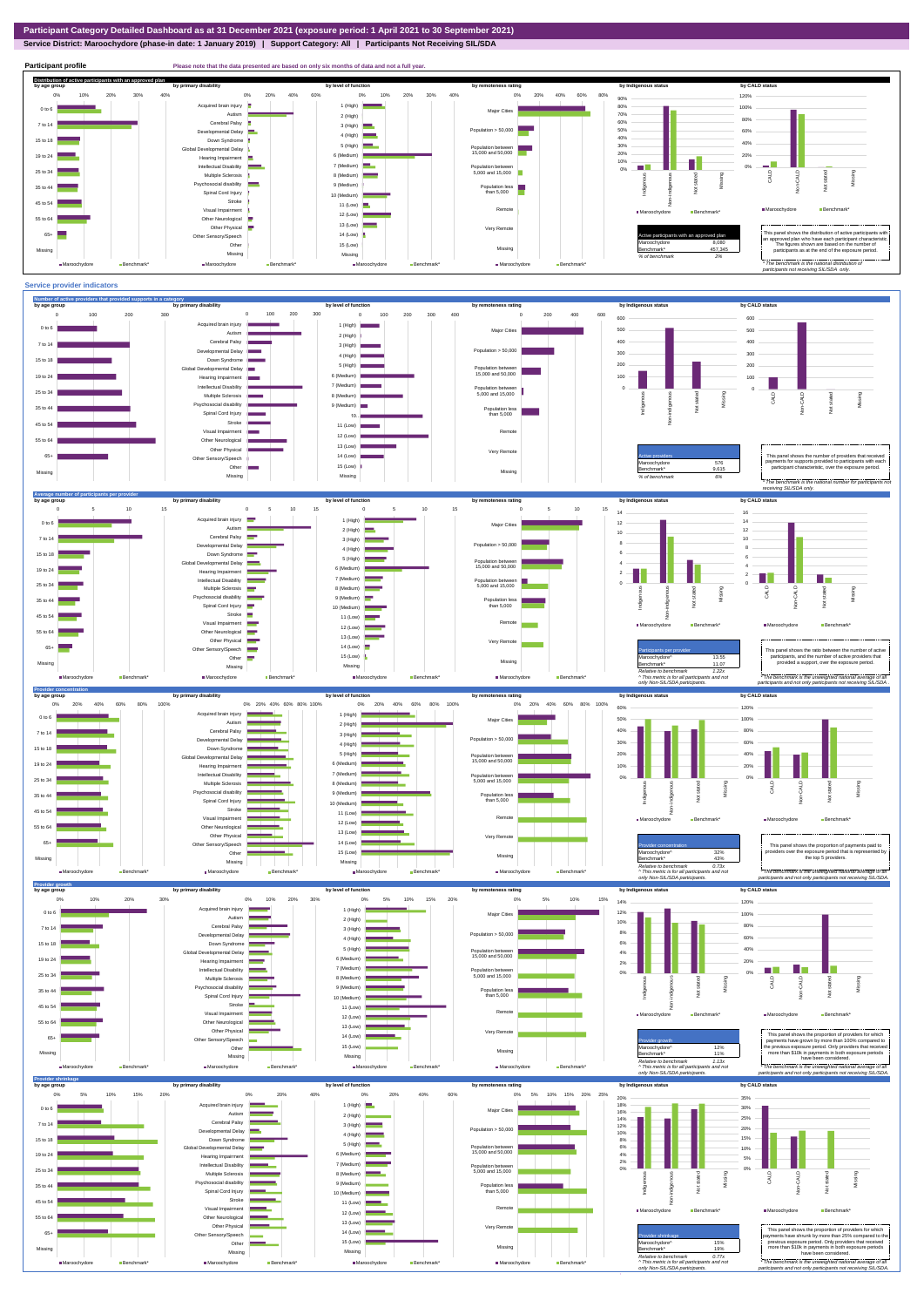## **Service District: Maroochydore (phase-in date: 1 January 2019) | Support Category: All | Participants Not Receiving SIL/SDA**